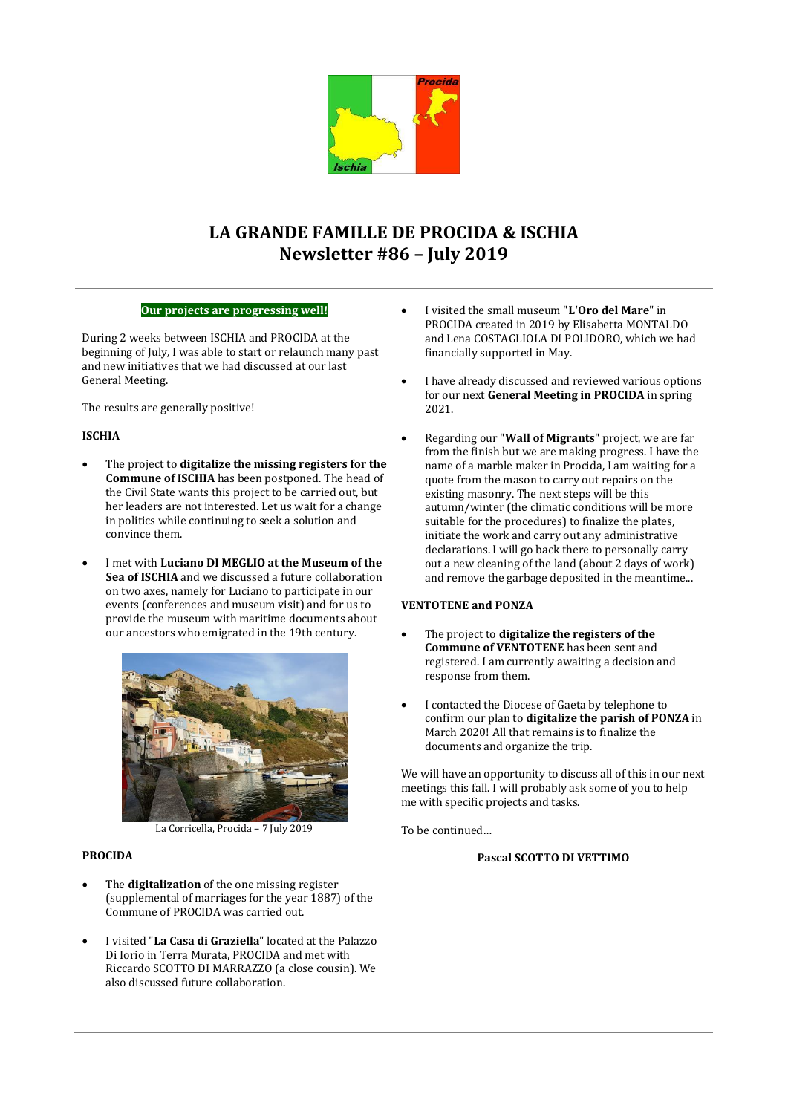

# **LA GRANDE FAMILLE DE PROCIDA & ISCHIA Newsletter #86 – July 2019**

## **Our projects are progressing well!**

During 2 weeks between ISCHIA and PROCIDA at the beginning of July, I was able to start or relaunch many past and new initiatives that we had discussed at our last General Meeting.

The results are generally positive!

# **ISCHIA**

- The project to **digitalize the missing registers for the Commune of ISCHIA** has been postponed. The head of the Civil State wants this project to be carried out, but her leaders are not interested. Let us wait for a change in politics while continuing to seek a solution and convince them.
- I met with **Luciano DI MEGLIO at the Museum of the Sea of ISCHIA** and we discussed a future collaboration on two axes, namely for Luciano to participate in our events (conferences and museum visit) and for us to provide the museum with maritime documents about our ancestors who emigrated in the 19th century.



La Corricella, Procida – 7 July 2019

## **PROCIDA**

- The **digitalization** of the one missing register (supplemental of marriages for the year 1887) of the Commune of PROCIDA was carried out.
- I visited "**La Casa di Graziella**" located at the Palazzo Di Iorio in Terra Murata, PROCIDA and met with Riccardo SCOTTO DI MARRAZZO (a close cousin). We also discussed future collaboration.
- I visited the small museum "**L'Oro del Mare**" in PROCIDA created in 2019 by Elisabetta MONTALDO and Lena COSTAGLIOLA DI POLIDORO, which we had financially supported in May.
- I have already discussed and reviewed various options for our next **General Meeting in PROCIDA** in spring 2021.
- Regarding our "**Wall of Migrants**" project, we are far from the finish but we are making progress. I have the name of a marble maker in Procida, I am waiting for a quote from the mason to carry out repairs on the existing masonry. The next steps will be this autumn/winter (the climatic conditions will be more suitable for the procedures) to finalize the plates, initiate the work and carry out any administrative declarations. I will go back there to personally carry out a new cleaning of the land (about 2 days of work) and remove the garbage deposited in the meantime...

## **VENTOTENE and PONZA**

- The project to **digitalize the registers of the Commune of VENTOTENE** has been sent and registered. I am currently awaiting a decision and response from them.
- I contacted the Diocese of Gaeta by telephone to confirm our plan to **digitalize the parish of PONZA** in March 2020! All that remains is to finalize the documents and organize the trip.

We will have an opportunity to discuss all of this in our next meetings this fall. I will probably ask some of you to help me with specific projects and tasks.

To be continued…

### **Pascal SCOTTO DI VETTIMO**